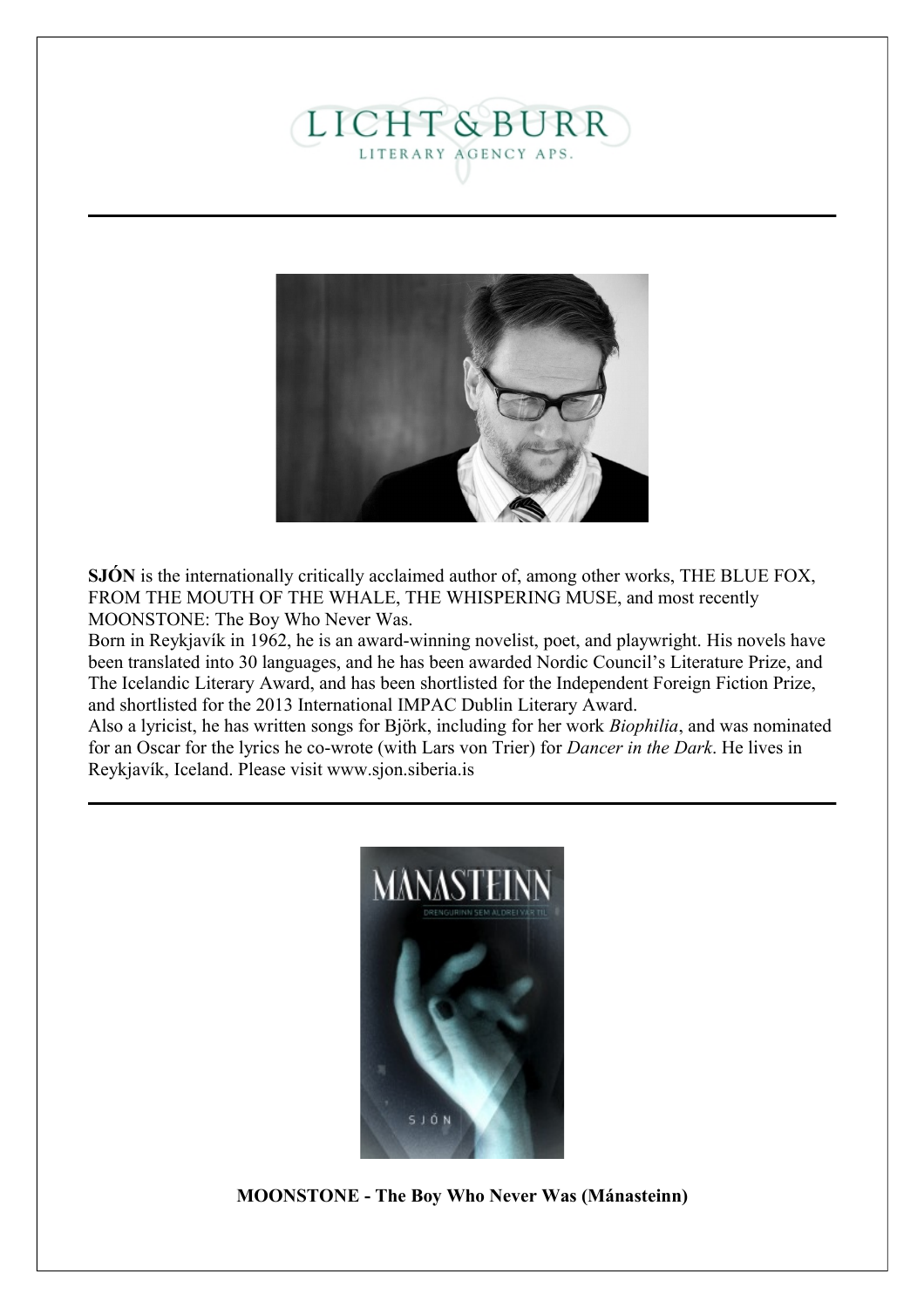# **LICHT & BURR** LITERARY AGENCY APS.



**SJÓN** is the internationally critically acclaimed author of, among other works, THE BLUE FOX, FROM THE MOUTH OF THE WHALE, THE WHISPERING MUSE, and most recently MOONSTONE: The Boy Who Never Was.

Born in Reykjavík in 1962, he is an award-winning novelist, poet, and playwright. His novels have been translated into 30 languages, and he has been awarded Nordic Council's Literature Prize, and The Icelandic Literary Award, and has been shortlisted for the Independent Foreign Fiction Prize, and shortlisted for the 2013 International IMPAC Dublin Literary Award.

Also a lyricist, he has written songs for Björk, including for her work *Biophilia*, and was nominated for an Oscar for the lyrics he co-wrote (with Lars von Trier) for *Dancer in the Dark*. He lives in Reykjavík, Iceland. Please visit www.sjon.siberia.is



**MOONSTONE - The Boy Who Never Was (Mánasteinn)**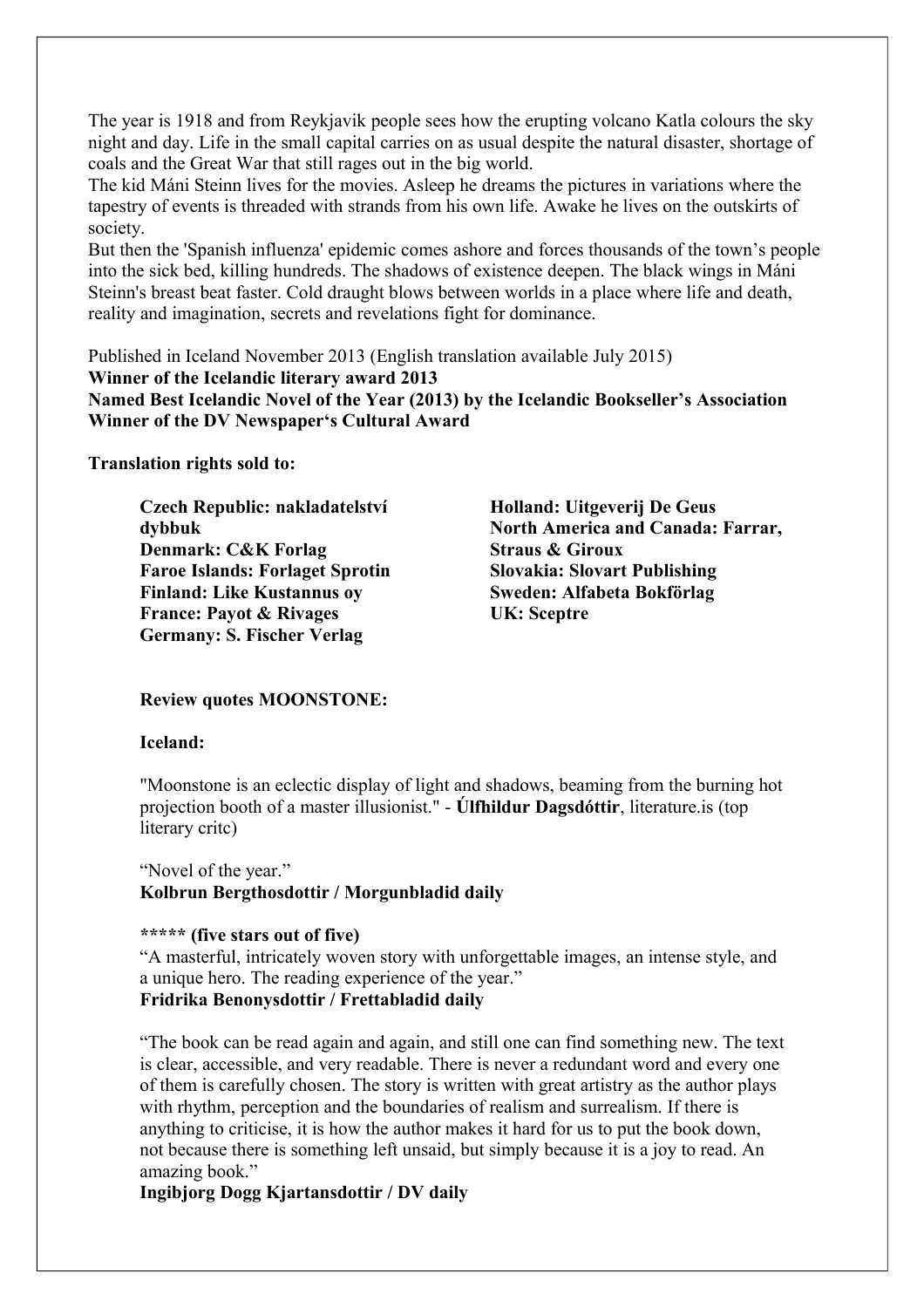The year is 1918 and from Reykjavik people sees how the erupting volcano Katla colours the sky night and day. Life in the small capital carries on as usual despite the natural disaster, shortage of coals and the Great War that still rages out in the big world.

The kid Máni Steinn lives for the movies. Asleep he dreams the pictures in variations where the tapestry of events is threaded with strands from his own life. Awake he lives on the outskirts of society.

But then the 'Spanish influenza' epidemic comes ashore and forces thousands of the town's people into the sick bed, killing hundreds. The shadows of existence deepen. The black wings in Máni Steinn's breast beat faster. Cold draught blows between worlds in a place where life and death, reality and imagination, secrets and revelations fight for dominance.

Published in Iceland November 2013 (English translation available July 2015) **Winner of the Icelandic literary award 2013 Named Best Icelandic Novel of the Year (2013) by the Icelandic Bookseller's Association Winner of the DV Newspaper's Cultural Award**

**Translation rights sold to:**

**Czech Republic: nakladatelství dybbuk Denmark: C&K Forlag Faroe Islands: Forlaget Sprotin Finland: Like Kustannus oy France: Payot & Rivages Germany: S. Fischer Verlag**

**Holland: Uitgeverij De Geus North America and Canada: Farrar, Straus & Giroux Slovakia: Slovart Publishing Sweden: Alfabeta Bokförlag UK: Sceptre**

#### **Review quotes MOONSTONE:**

#### **Iceland:**

"Moonstone is an eclectic display of light and shadows, beaming from the burning hot projection booth of a master illusionist." - **Úlfhildur Dagsdóttir**, literature.is (top literary critc)

"Novel of the year." **Kolbrun Bergthosdottir / Morgunbladid daily**

#### **\*\*\*\*\* (five stars out of five)**

"A masterful, intricately woven story with unforgettable images, an intense style, and a unique hero. The reading experience of the year." **Fridrika Benonysdottir / Frettabladid daily**

"The book can be read again and again, and still one can find something new. The text is clear, accessible, and very readable. There is never a redundant word and every one of them is carefully chosen. The story is written with great artistry as the author plays with rhythm, perception and the boundaries of realism and surrealism. If there is anything to criticise, it is how the author makes it hard for us to put the book down, not because there is something left unsaid, but simply because it is a joy to read. An amazing book."

**Ingibjorg Dogg Kjartansdottir / DV daily**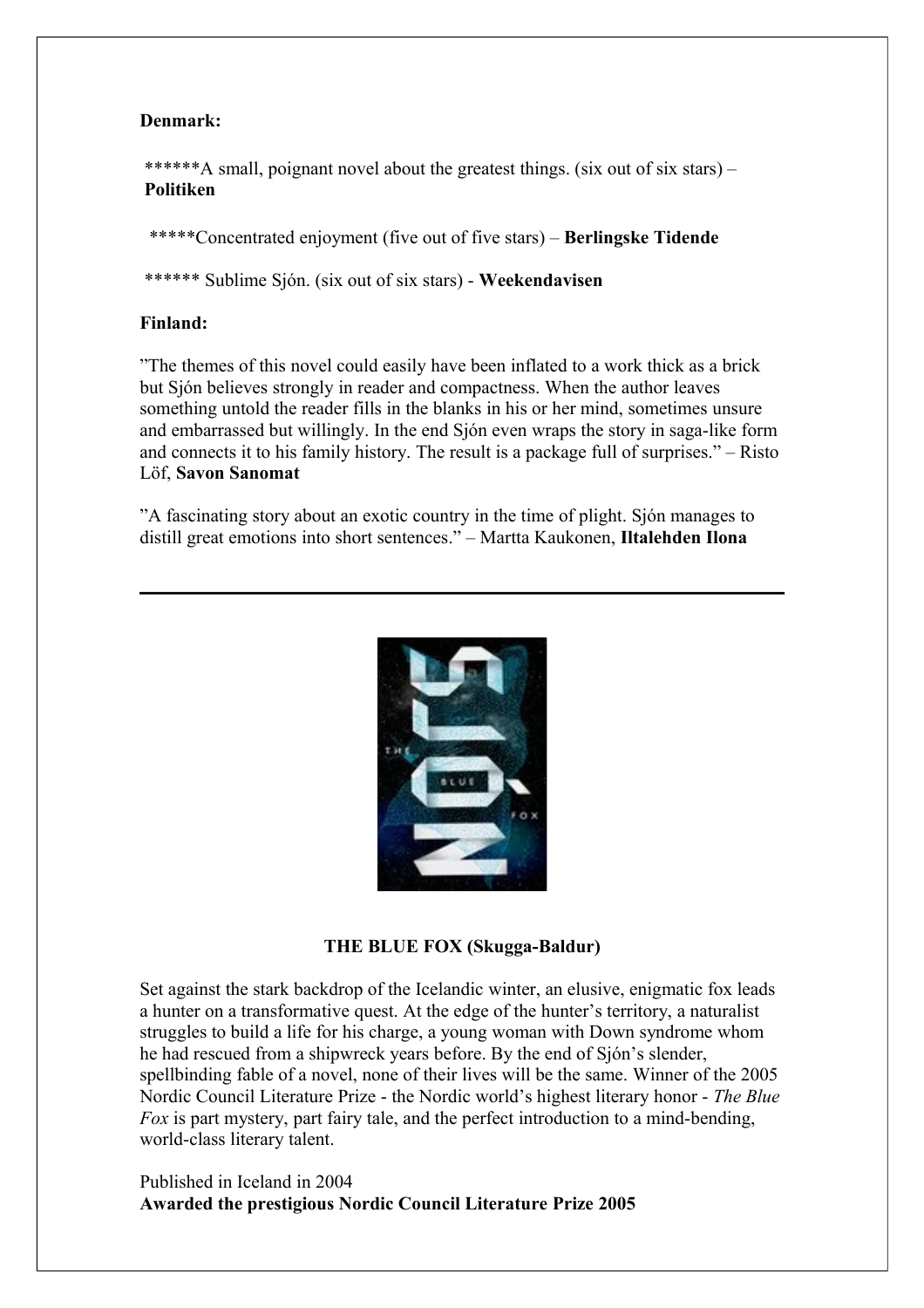# **Denmark:**

\*\*\*\*\*\*A small, poignant novel about the greatest things. (six out of six stars) – **Politiken**

\*\*\*\*\*Concentrated enjoyment (five out of five stars) – **Berlingske Tidende**

\*\*\*\*\*\* Sublime Sjón. (six out of six stars) - **Weekendavisen**

# **Finland:**

"The themes of this novel could easily have been inflated to a work thick as a brick but Sjón believes strongly in reader and compactness. When the author leaves something untold the reader fills in the blanks in his or her mind, sometimes unsure and embarrassed but willingly. In the end Sjón even wraps the story in saga-like form and connects it to his family history. The result is a package full of surprises." – Risto Löf, **Savon Sanomat**

"A fascinating story about an exotic country in the time of plight. Sjón manages to distill great emotions into short sentences." – Martta Kaukonen, **Iltalehden Ilona**



#### **THE BLUE FOX (Skugga-Baldur)**

Set against the stark backdrop of the Icelandic winter, an elusive, enigmatic fox leads a hunter on a transformative quest. At the edge of the hunter's territory, a naturalist struggles to build a life for his charge, a young woman with Down syndrome whom he had rescued from a shipwreck years before. By the end of Sjón's slender, spellbinding fable of a novel, none of their lives will be the same. Winner of the 2005 Nordic Council Literature Prize - the Nordic world's highest literary honor - *The Blue Fox* is part mystery, part fairy tale, and the perfect introduction to a mind-bending, world-class literary talent.

Published in Iceland in 2004 **Awarded the prestigious Nordic Council Literature Prize 2005**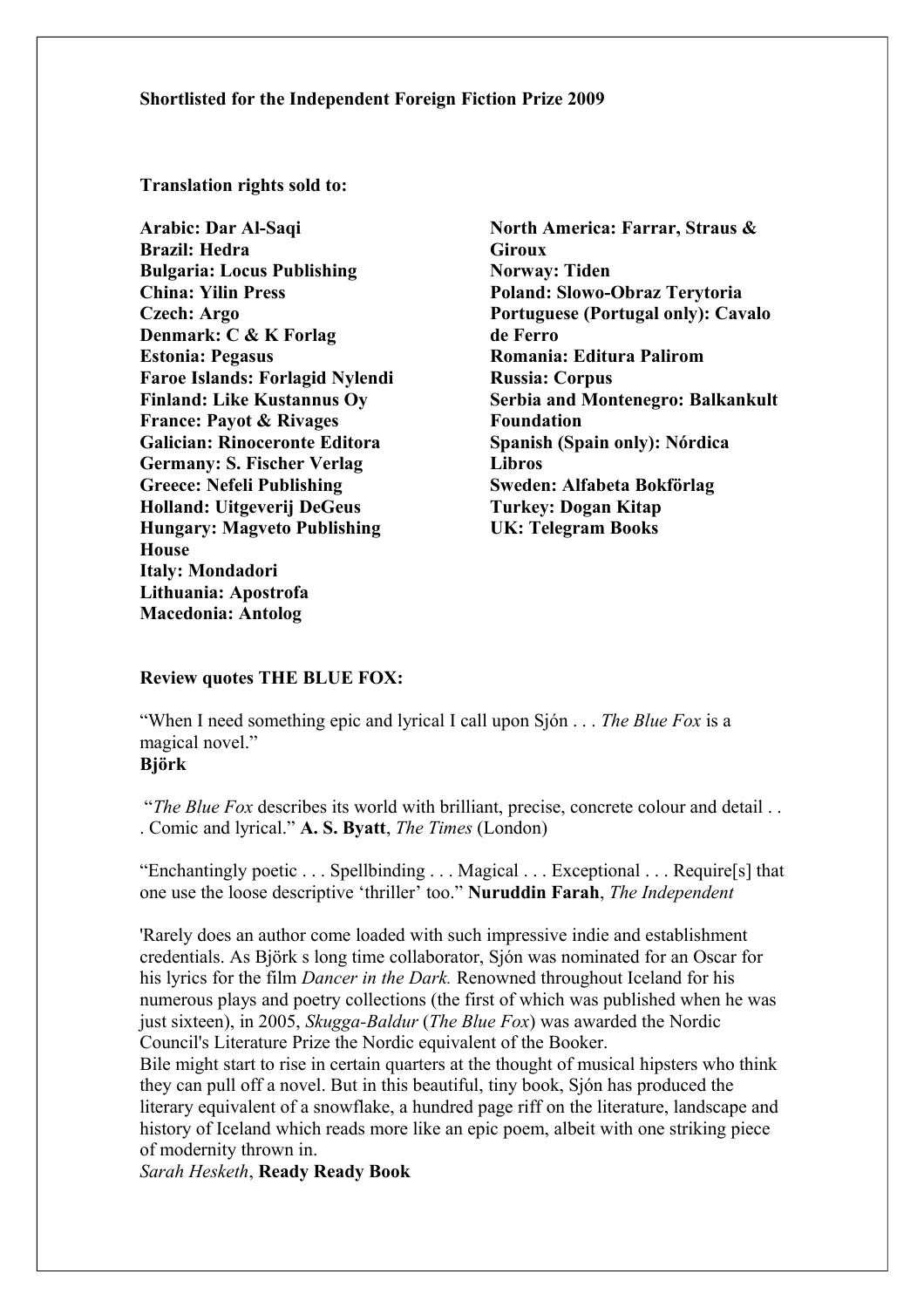#### **Shortlisted for the Independent Foreign Fiction Prize 2009**

**Translation rights sold to:**

**Arabic: Dar Al-Saqi Brazil: Hedra Bulgaria: Locus Publishing China: Yilin Press Czech: Argo Denmark: C & K Forlag Estonia: Pegasus Faroe Islands: Forlagid Nylendi Finland: Like Kustannus Oy France: Payot & Rivages Galician: Rinoceronte Editora Germany: S. Fischer Verlag Greece: Nefeli Publishing Holland: Uitgeverij DeGeus Hungary: Magveto Publishing House Italy: Mondadori Lithuania: Apostrofa Macedonia: Antolog**

**North America: Farrar, Straus & Giroux Norway: Tiden Poland: Slowo-Obraz Terytoria Portuguese (Portugal only): Cavalo de Ferro Romania: Editura Palirom Russia: Corpus Serbia and Montenegro: Balkankult Foundation Spanish (Spain only): Nórdica Libros Sweden: Alfabeta Bokförlag Turkey: Dogan Kitap UK: Telegram Books**

#### **Review quotes THE BLUE FOX:**

"When I need something epic and lyrical I call upon Sjón . . . *The Blue Fox* is a magical novel." **Björk**

"*The Blue Fox* describes its world with brilliant, precise, concrete colour and detail . . . Comic and lyrical." **A. S. Byatt**, *The Times* (London)

"Enchantingly poetic . . . Spellbinding . . . Magical . . . Exceptional . . . Require[s] that one use the loose descriptive 'thriller' too." **Nuruddin Farah**, *The Independent*

'Rarely does an author come loaded with such impressive indie and establishment credentials. As Björk s long time collaborator, Sjón was nominated for an Oscar for his lyrics for the film *Dancer in the Dark.* Renowned throughout Iceland for his numerous plays and poetry collections (the first of which was published when he was just sixteen), in 2005, *Skugga-Baldur* (*The Blue Fox*) was awarded the Nordic Council's Literature Prize the Nordic equivalent of the Booker.

Bile might start to rise in certain quarters at the thought of musical hipsters who think they can pull off a novel. But in this beautiful, tiny book, Sjón has produced the literary equivalent of a snowflake, a hundred page riff on the literature, landscape and history of Iceland which reads more like an epic poem, albeit with one striking piece of modernity thrown in.

*Sarah Hesketh*, **Ready Ready Book**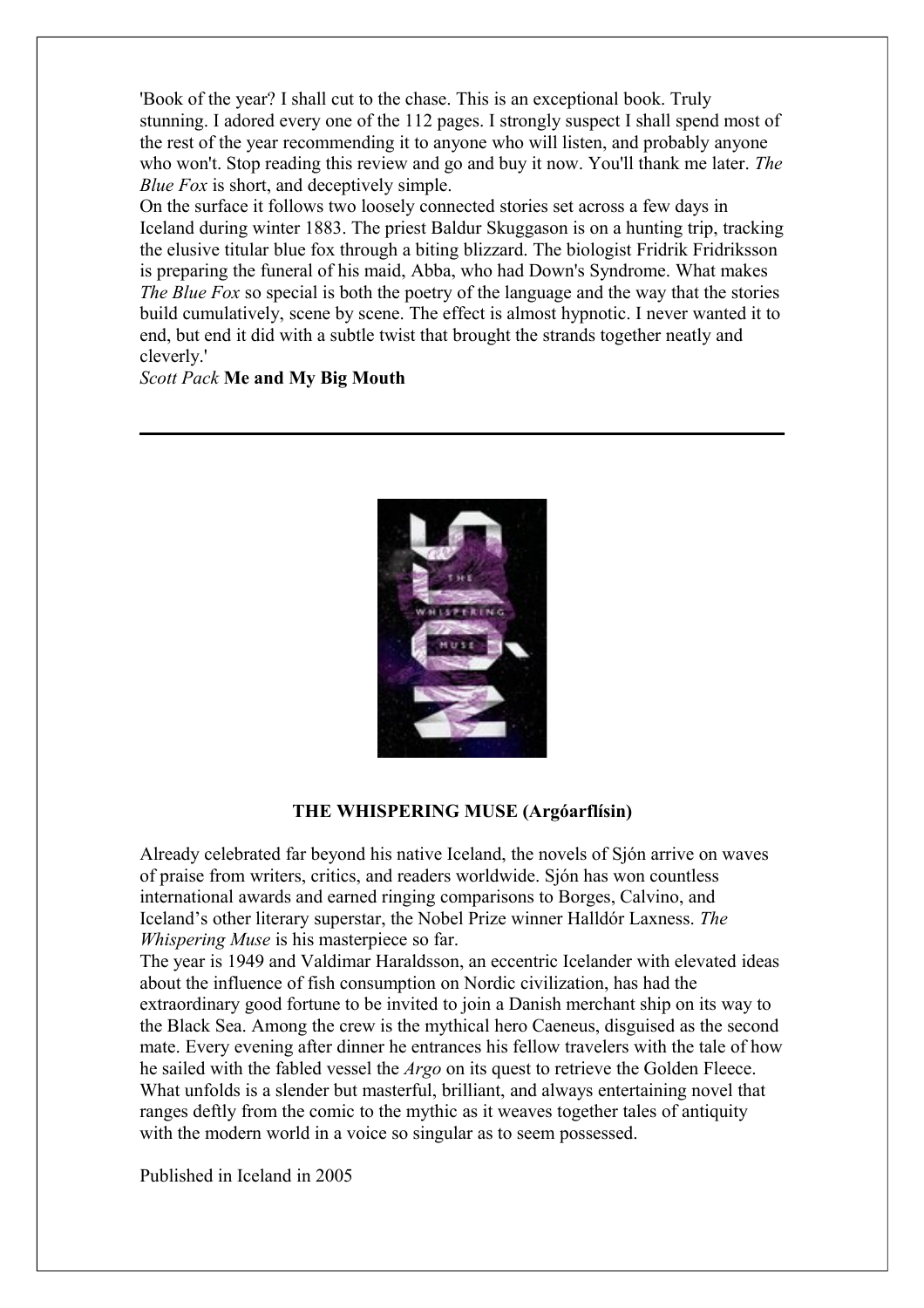'Book of the year? I shall cut to the chase. This is an exceptional book. Truly stunning. I adored every one of the 112 pages. I strongly suspect I shall spend most of the rest of the year recommending it to anyone who will listen, and probably anyone who won't. Stop reading this review and go and buy it now. You'll thank me later. *The Blue Fox* is short, and deceptively simple.

On the surface it follows two loosely connected stories set across a few days in Iceland during winter 1883. The priest Baldur Skuggason is on a hunting trip, tracking the elusive titular blue fox through a biting blizzard. The biologist Fridrik Fridriksson is preparing the funeral of his maid, Abba, who had Down's Syndrome. What makes *The Blue Fox* so special is both the poetry of the language and the way that the stories build cumulatively, scene by scene. The effect is almost hypnotic. I never wanted it to end, but end it did with a subtle twist that brought the strands together neatly and cleverly.'

## *Scott Pack* **Me and My Big Mouth**



#### **THE WHISPERING MUSE (Argóarflísin)**

Already celebrated far beyond his native Iceland, the novels of Sjón arrive on waves of praise from writers, critics, and readers worldwide. Sjón has won countless international awards and earned ringing comparisons to Borges, Calvino, and Iceland's other literary superstar, the Nobel Prize winner Halldór Laxness. *The Whispering Muse* is his masterpiece so far.

The year is 1949 and Valdimar Haraldsson, an eccentric Icelander with elevated ideas about the influence of fish consumption on Nordic civilization, has had the extraordinary good fortune to be invited to join a Danish merchant ship on its way to the Black Sea. Among the crew is the mythical hero Caeneus, disguised as the second mate. Every evening after dinner he entrances his fellow travelers with the tale of how he sailed with the fabled vessel the *Argo* on its quest to retrieve the Golden Fleece. What unfolds is a slender but masterful, brilliant, and always entertaining novel that ranges deftly from the comic to the mythic as it weaves together tales of antiquity with the modern world in a voice so singular as to seem possessed.

Published in Iceland in 2005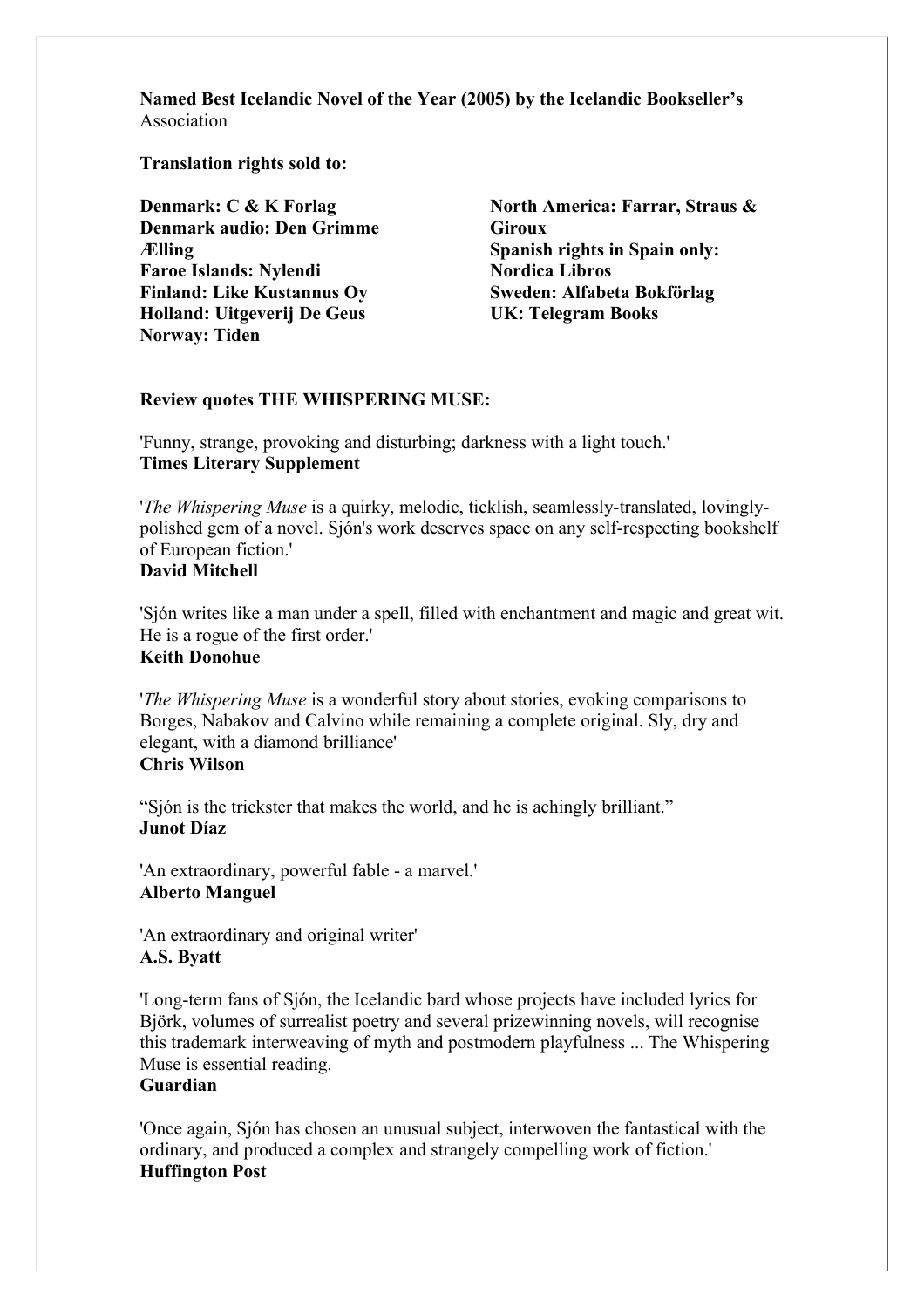**Named Best Icelandic Novel of the Year (2005) by the Icelandic Bookseller's** Association

**Translation rights sold to:**

**Denmark: C & K Forlag Denmark audio: Den Grimme Ælling Faroe Islands: Nylendi Finland: Like Kustannus Oy Holland: Uitgeverij De Geus Norway: Tiden**

**North America: Farrar, Straus & Giroux Spanish rights in Spain only: Nordica Libros Sweden: Alfabeta Bokförlag UK: Telegram Books**

#### **Review quotes THE WHISPERING MUSE:**

'Funny, strange, provoking and disturbing; darkness with a light touch.' **Times Literary Supplement**

'*The Whispering Muse* is a quirky, melodic, ticklish, seamlessly-translated, lovinglypolished gem of a novel. Sjón's work deserves space on any self-respecting bookshelf of European fiction.' **David Mitchell**

'Sjón writes like a man under a spell, filled with enchantment and magic and great wit. He is a rogue of the first order.' **Keith Donohue**

'*The Whispering Muse* is a wonderful story about stories, evoking comparisons to Borges, Nabakov and Calvino while remaining a complete original. Sly, dry and elegant, with a diamond brilliance' **Chris Wilson**

"Sjón is the trickster that makes the world, and he is achingly brilliant." **Junot Díaz**

'An extraordinary, powerful fable - a marvel.' **Alberto Manguel**

'An extraordinary and original writer' **A.S. Byatt**

'Long-term fans of Sjón, the Icelandic bard whose projects have included lyrics for Björk, volumes of surrealist poetry and several prizewinning novels, will recognise this trademark interweaving of myth and postmodern playfulness ... The Whispering Muse is essential reading.

#### **Guardian**

'Once again, Sjón has chosen an unusual subject, interwoven the fantastical with the ordinary, and produced a complex and strangely compelling work of fiction.' **Huffington Post**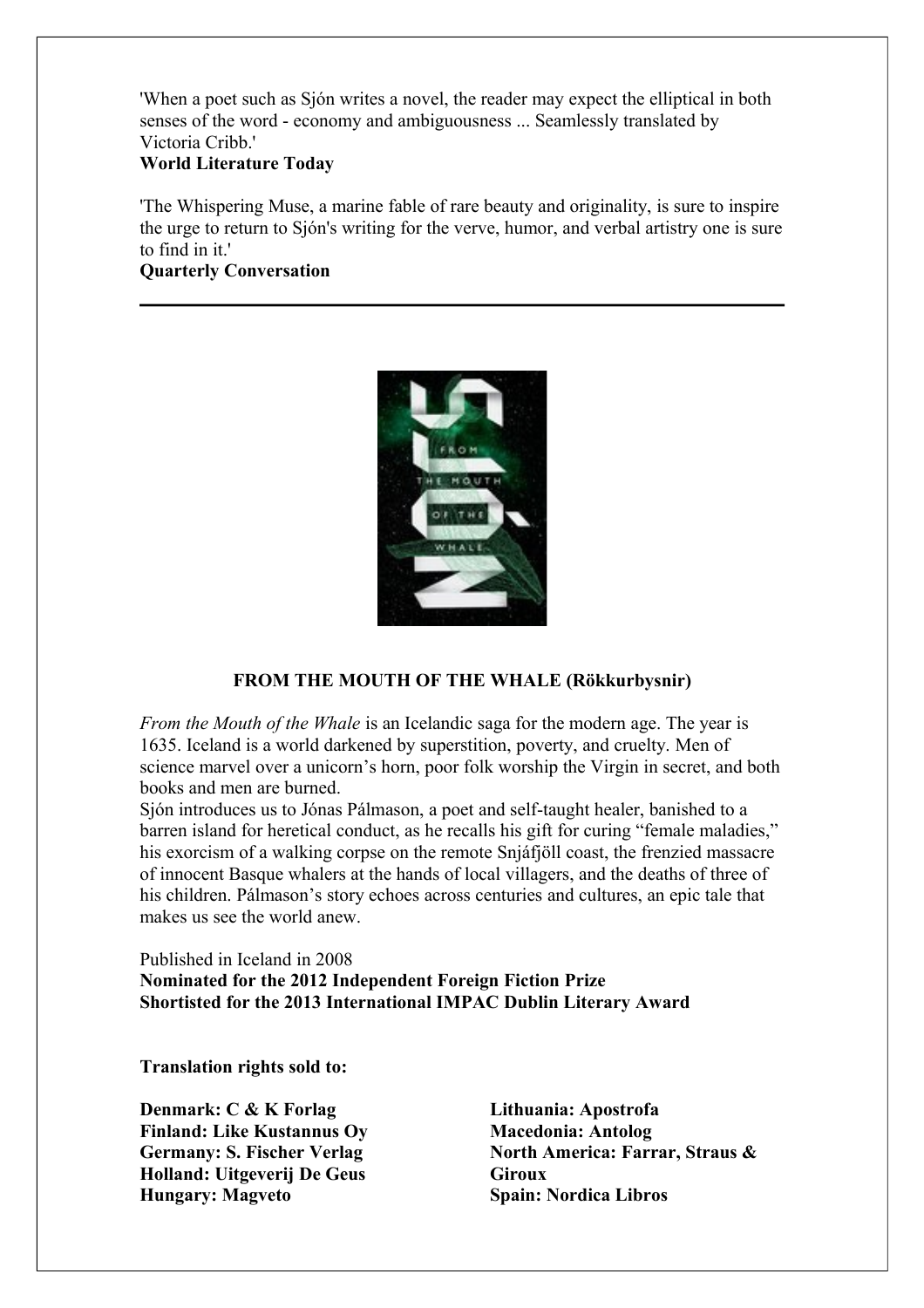'When a poet such as Sjón writes a novel, the reader may expect the elliptical in both senses of the word - economy and ambiguousness ... Seamlessly translated by Victoria Cribb.'

# **World Literature Today**

'The Whispering Muse, a marine fable of rare beauty and originality, is sure to inspire the urge to return to Sjón's writing for the verve, humor, and verbal artistry one is sure to find in it!

# **Quarterly Conversation**



#### **FROM THE MOUTH OF THE WHALE (Rökkurbysnir)**

*From the Mouth of the Whale* is an Icelandic saga for the modern age. The year is 1635. Iceland is a world darkened by superstition, poverty, and cruelty. Men of science marvel over a unicorn's horn, poor folk worship the Virgin in secret, and both books and men are burned.

Sjón introduces us to Jónas Pálmason, a poet and self-taught healer, banished to a barren island for heretical conduct, as he recalls his gift for curing "female maladies," his exorcism of a walking corpse on the remote Snjáfjöll coast, the frenzied massacre of innocent Basque whalers at the hands of local villagers, and the deaths of three of his children. Pálmason's story echoes across centuries and cultures, an epic tale that makes us see the world anew.

Published in Iceland in 2008 **Nominated for the 2012 Independent Foreign Fiction Prize Shortisted for the 2013 International IMPAC Dublin Literary Award**

**Translation rights sold to:**

**Denmark: C & K Forlag Finland: Like Kustannus Oy Germany: S. Fischer Verlag Holland: Uitgeverij De Geus Hungary: Magveto**

**Lithuania: Apostrofa Macedonia: Antolog North America: Farrar, Straus & Giroux Spain: Nordica Libros**